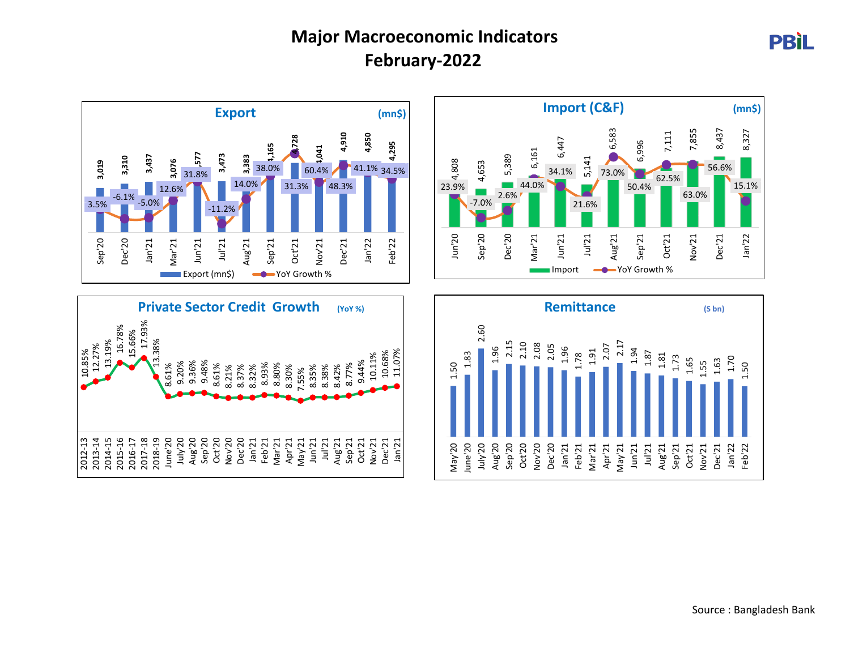## **Major Macroeconomic Indicators February-2022**









**PBIL**